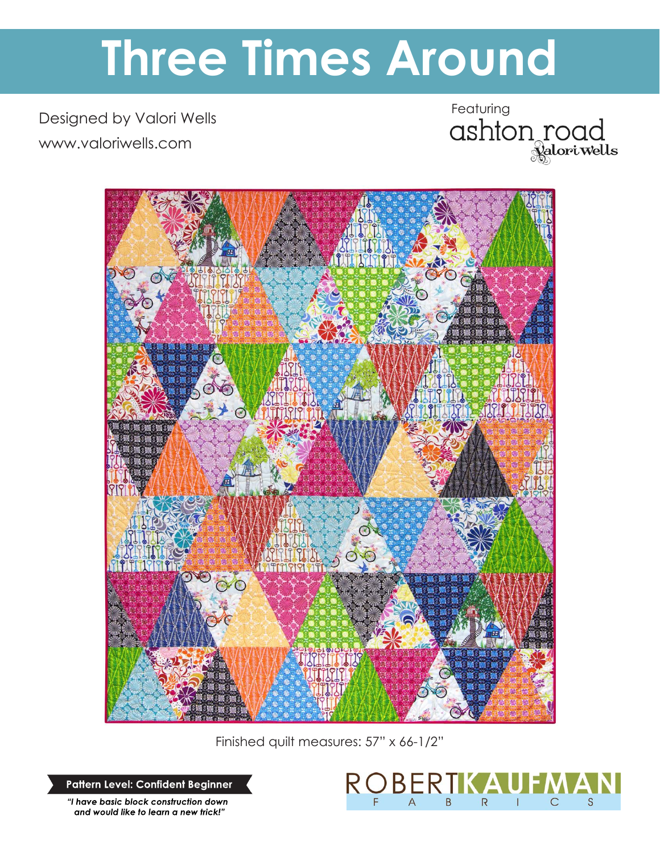# **Three Times Around**

Designed by Valori Wells www.valoriwells.com

Featuring<br>ashton road



Finished quilt measures: 57" x 66-1/2"

R (

BERIKA

B

 $\overline{R}$ 

 $\overline{1}$ 

 $\mathsf{C}$ 

S

 $\overline{A}$ 

**Pattern Level: Confident Beginner**

*"I have basic block construction down and would like to learn a new trick!"*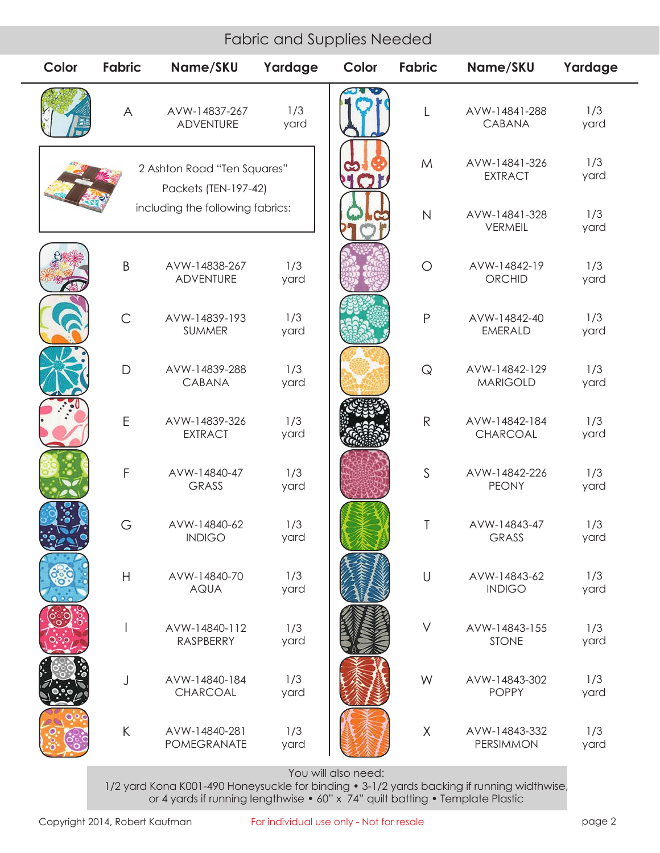| <b>Fabric and Supplies Needed</b>                   |                                  |                                   |             |       |               |                                  |             |
|-----------------------------------------------------|----------------------------------|-----------------------------------|-------------|-------|---------------|----------------------------------|-------------|
| Color                                               | <b>Fabric</b>                    | Name/SKU                          | Yardage     | Color | <b>Fabric</b> | Name/SKU                         | Yardage     |
|                                                     | A                                | AVW-14837-267<br><b>ADVENTURE</b> | 1/3<br>yard |       | L             | AVW-14841-288<br><b>CABANA</b>   | 1/3<br>yard |
| 2 Ashton Road "Ten Squares"<br>Packets (TEN-197-42) |                                  |                                   |             |       | M             | AVW-14841-326<br><b>EXTRACT</b>  | 1/3<br>yard |
|                                                     | including the following fabrics: |                                   |             |       | $\mathsf{N}$  | AVW-14841-328<br><b>VERMEIL</b>  | 1/3<br>yard |
|                                                     | B                                | AVW-14838-267<br><b>ADVENTURE</b> | 1/3<br>yard |       | $\bigcirc$    | AVW-14842-19<br>ORCHID           | 1/3<br>yard |
|                                                     | $\mathsf{C}$                     | AVW-14839-193<br>SUMMER           | 1/3<br>yard |       | $\mathsf{P}$  | AVW-14842-40<br><b>EMERALD</b>   | 1/3<br>yard |
|                                                     | $\mathsf{D}$                     | AVW-14839-288<br>CABANA           | 1/3<br>yard |       | $\mathsf{Q}$  | AVW-14842-129<br><b>MARIGOLD</b> | 1/3<br>yard |
|                                                     | E                                | AVW-14839-326<br><b>EXTRACT</b>   | 1/3<br>yard |       | ${\sf R}$     | AVW-14842-184<br>CHARCOAL        | 1/3<br>yard |
|                                                     | $\mathsf F$                      | AVW-14840-47<br><b>GRASS</b>      | 1/3<br>yard |       | $\mathsf{S}$  | AVW-14842-226<br><b>PEONY</b>    | 1/3<br>yard |
|                                                     | G                                | AVW-14840-62<br><b>INDIGO</b>     | 1/3<br>yard |       | T             | AVW-14843-47<br><b>GRASS</b>     | 1/3<br>yard |
|                                                     | H                                | AVW-14840-70<br><b>AQUA</b>       | 1/3<br>yard |       | $\cup$        | AVW-14843-62<br><b>INDIGO</b>    | 1/3<br>yard |
|                                                     |                                  | AVW-14840-112<br>RASPBERRY        | 1/3<br>yard |       | $\vee$        | AVW-14843-155<br><b>STONE</b>    | 1/3<br>yard |
|                                                     | J                                | AVW-14840-184<br>CHARCOAL         | 1/3<br>yard |       | W             | AVW-14843-302<br><b>POPPY</b>    | 1/3<br>yard |
|                                                     | $\sf K$                          | AVW-14840-281<br>POMEGRANATE      | 1/3<br>yard |       | X             | AVW-14843-332<br>PERSIMMON       | 1/3<br>yard |

You will also need:

1/2 yard Kona K001-490 Honeysuckle for binding • 3-1/2 yards backing if running widthwise, or 4 yards if running lengthwise • 60" x 74" quilt batting • Template Plastic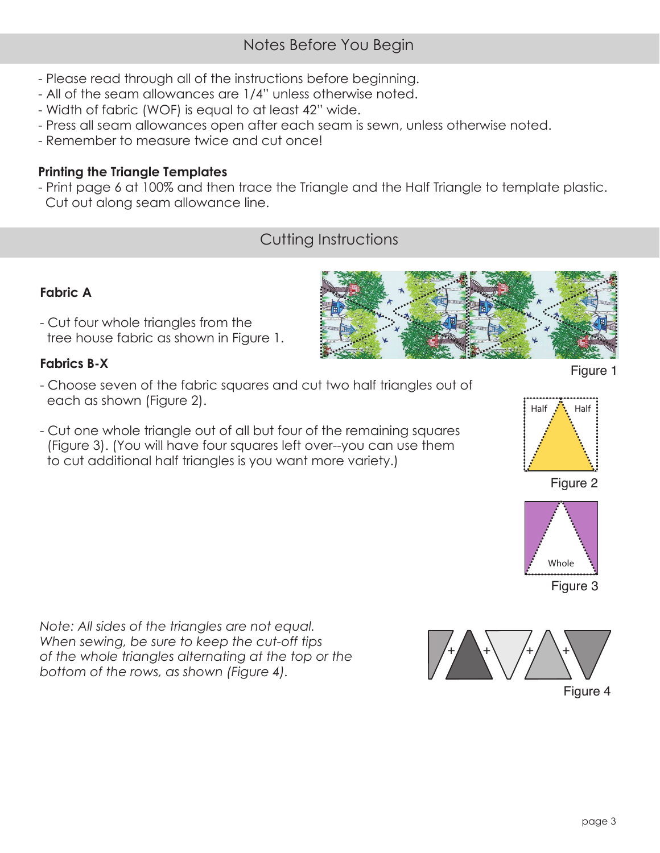# Notes Before You Begin

- Please read through all of the instructions before beginning.
- All of the seam allowances are 1/4" unless otherwise noted.
- Width of fabric (WOF) is equal to at least 42" wide.
- Press all seam allowances open after each seam is sewn, unless otherwise noted.
- Remember to measure twice and cut once!

# **Printing the Triangle Templates**

- Print page 6 at 100% and then trace the Triangle and the Half Triangle to template plastic. Cut out along seam allowance line.

# Cutting Instructions

## **Fabric A**

- Cut four whole triangles from the tree house fabric as shown in Figure 1.

### **Fabrics B-X**

- Choose seven of the fabric squares and cut two half triangles out of each as shown (Figure 2).
- Cut one whole triangle out of all but four of the remaining squares (Figure 3). (You will have four squares left over--you can use them to cut additional half triangles is you want more variety.)

*Note: All sides of the triangles are not equal. When sewing, be sure to keep the cut-off tips of the whole triangles alternating at the top or the bottom of the rows, as shown (Figure 4).*







Figure 3

Whole

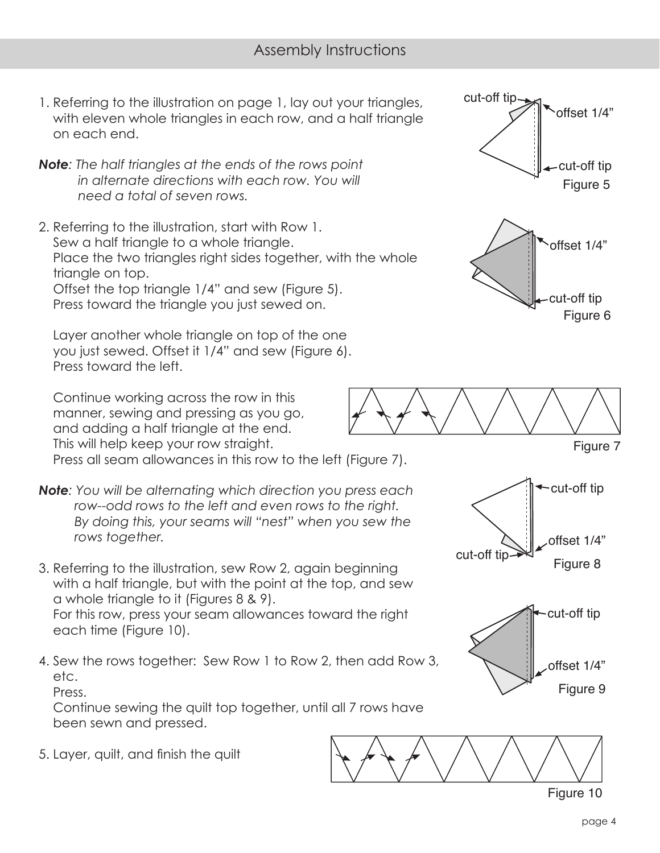- 1. Referring to the illustration on page 1, lay out your triangles, with eleven whole triangles in each row, and a half triangle on each end.
- *Note: The half triangles at the ends of the rows point in alternate directions with each row. You will need a total of seven rows.*
- 2. Referring to the illustration, start with Row 1. Sew a half triangle to a whole triangle. Place the two triangles right sides together, with the whole triangle on top. Offset the top triangle 1/4" and sew (Figure 5). Press toward the triangle you just sewed on.

 Layer another whole triangle on top of the one you just sewed. Offset it 1/4" and sew (Figure 6). Press toward the left.

 Continue working across the row in this manner, sewing and pressing as you go, and adding a half triangle at the end. This will help keep your row straight.

Press all seam allowances in this row to the left (Figure 7).

- *Note: You will be alternating which direction you press each row--odd rows to the left and even rows to the right. By doing this, your seams will "nest" when you sew the rows together.*
- 3. Referring to the illustration, sew Row 2, again beginning with a half triangle, but with the point at the top, and sew a whole triangle to it (Figures 8 & 9). For this row, press your seam allowances toward the right each time (Figure 10).
- 4. Sew the rows together: Sew Row 1 to Row 2, then add Row 3, etc.

Press.

 Continue sewing the quilt top together, until all 7 rows have been sewn and pressed.

5. Layer, quilt, and finish the quilt





Figure 7





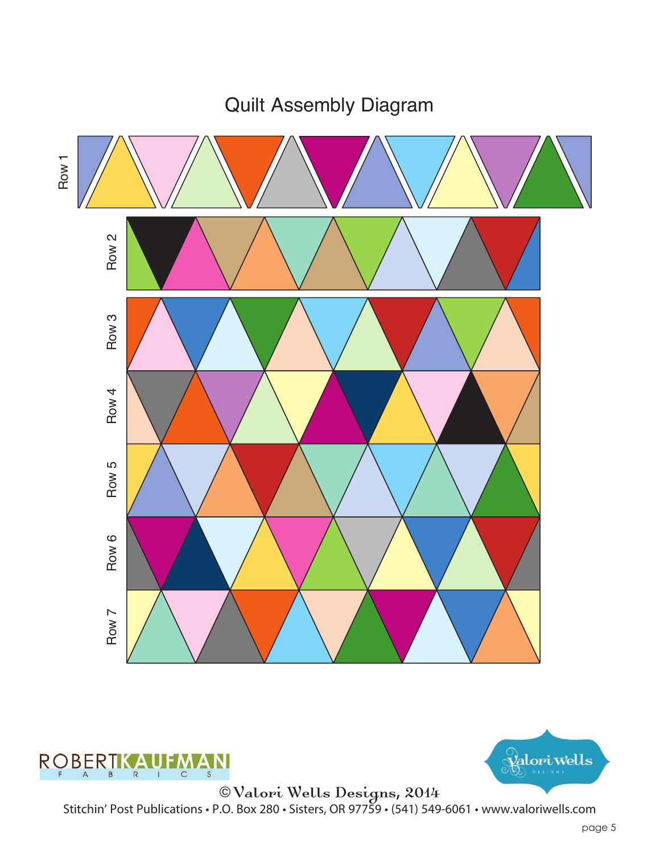

Quilt Assembly Diagram





© Valori Wells Designs, 2014 Stitchin' Post Publications • P.O. Box 280 • Sisters, OR 97759 • (541) 549-6061 • www.valoriwells.com